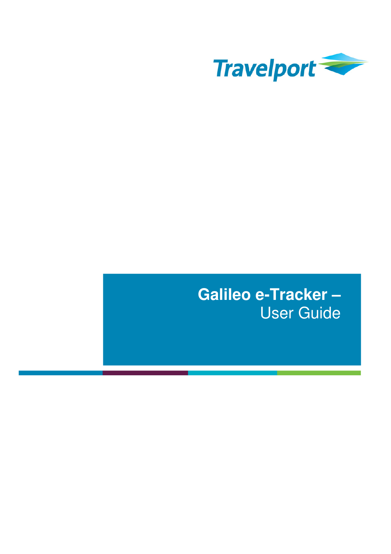

# **Galileo e-Tracker –** User Guide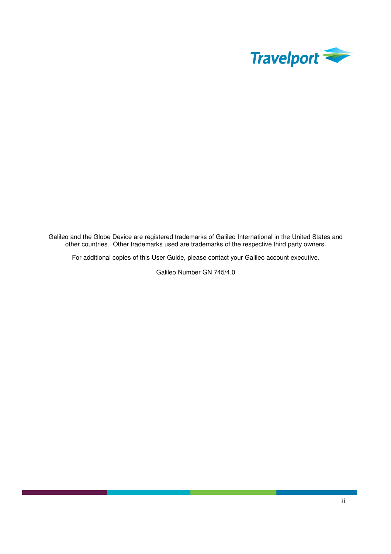

Galileo and the Globe Device are registered trademarks of Galileo International in the United States and other countries. Other trademarks used are trademarks of the respective third party owners.

For additional copies of this User Guide, please contact your Galileo account executive.

Galileo Number GN 745/4.0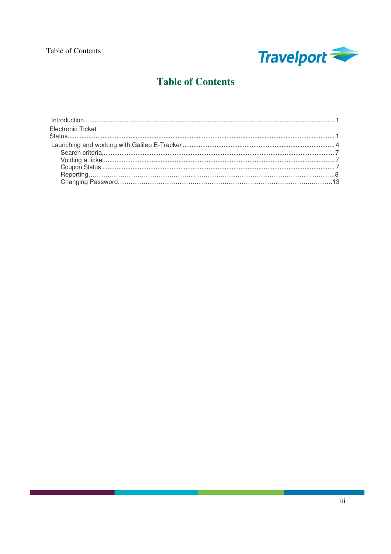

# **Table of Contents**

| <b>Electronic Ticket</b> |  |
|--------------------------|--|
|                          |  |
|                          |  |
|                          |  |
|                          |  |
|                          |  |
|                          |  |
|                          |  |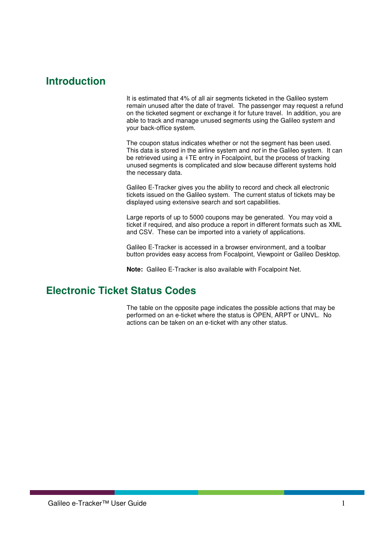# **Introduction**

It is estimated that 4% of all air segments ticketed in the Galileo system remain unused after the date of travel. The passenger may request a refund on the ticketed segment or exchange it for future travel. In addition, you are able to track and manage unused segments using the Galileo system and your back-office system.

The coupon status indicates whether or not the segment has been used. This data is stored in the airline system and not in the Galileo system. It can be retrieved using a  $*TE$  entry in Focalpoint, but the process of tracking unused segments is complicated and slow because different systems hold the necessary data.

Galileo E-Tracker gives you the ability to record and check all electronic tickets issued on the Galileo system. The current status of tickets may be displayed using extensive search and sort capabilities.

Large reports of up to 5000 coupons may be generated. You may void a ticket if required, and also produce a report in different formats such as XML and CSV. These can be imported into a variety of applications.

Galileo E-Tracker is accessed in a browser environment, and a toolbar button provides easy access from Focalpoint, Viewpoint or Galileo Desktop.

**Note:** Galileo E-Tracker is also available with Focalpoint Net.

# **Electronic Ticket Status Codes**

The table on the opposite page indicates the possible actions that may be performed on an e-ticket where the status is OPEN, ARPT or UNVL. No actions can be taken on an e-ticket with any other status.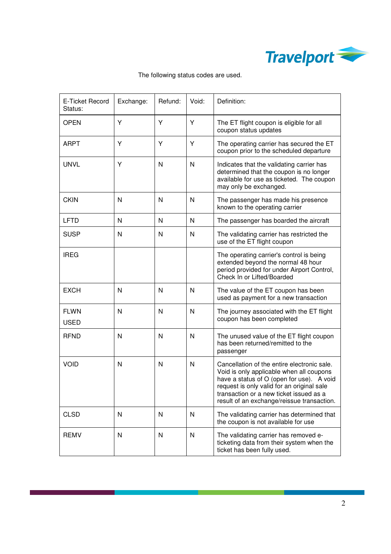

| E-Ticket Record<br>Status: | Exchange:    | Refund: | Void: | Definition:                                                                                                                                                                                                                                                                 |
|----------------------------|--------------|---------|-------|-----------------------------------------------------------------------------------------------------------------------------------------------------------------------------------------------------------------------------------------------------------------------------|
| <b>OPEN</b>                | Υ            | Y       | Y     | The ET flight coupon is eligible for all<br>coupon status updates                                                                                                                                                                                                           |
| <b>ARPT</b>                | Y            | Y       | Y     | The operating carrier has secured the ET<br>coupon prior to the scheduled departure                                                                                                                                                                                         |
| <b>UNVL</b>                | Y            | N       | N     | Indicates that the validating carrier has<br>determined that the coupon is no longer<br>available for use as ticketed. The coupon<br>may only be exchanged.                                                                                                                 |
| <b>CKIN</b>                | N            | N       | N     | The passenger has made his presence<br>known to the operating carrier                                                                                                                                                                                                       |
| <b>LFTD</b>                | N            | N       | N     | The passenger has boarded the aircraft                                                                                                                                                                                                                                      |
| <b>SUSP</b>                | N            | N       | N     | The validating carrier has restricted the<br>use of the ET flight coupon                                                                                                                                                                                                    |
| <b>IREG</b>                |              |         |       | The operating carrier's control is being<br>extended beyond the normal 48 hour<br>period provided for under Airport Control,<br>Check In or Lifted/Boarded                                                                                                                  |
| <b>EXCH</b>                | N            | N       | N     | The value of the ET coupon has been<br>used as payment for a new transaction                                                                                                                                                                                                |
| <b>FLWN</b><br><b>USED</b> | N            | N       | N     | The journey associated with the ET flight<br>coupon has been completed                                                                                                                                                                                                      |
| <b>RFND</b>                | N            | N       | N     | The unused value of the ET flight coupon<br>has been returned/remitted to the<br>passenger                                                                                                                                                                                  |
| <b>VOID</b>                | N            | N       | N     | Cancellation of the entire electronic sale.<br>Void is only applicable when all coupons<br>have a status of O (open for use). A void<br>request is only valid for an original sale<br>transaction or a new ticket issued as a<br>result of an exchange/reissue transaction. |
| <b>CLSD</b>                | N            | N       | N     | The validating carrier has determined that<br>the coupon is not available for use                                                                                                                                                                                           |
| <b>REMV</b>                | $\mathsf{N}$ | N       | N     | The validating carrier has removed e-<br>ticketing data from their system when the<br>ticket has been fully used.                                                                                                                                                           |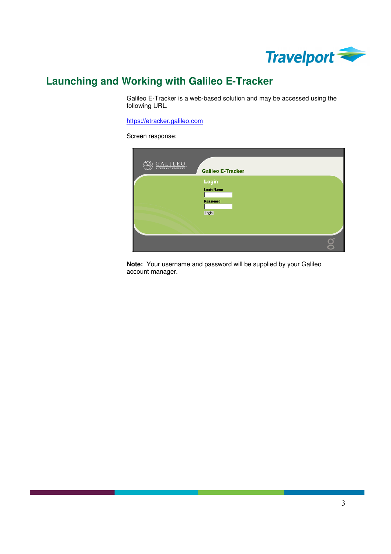

# **Launching and Working with Galileo E-Tracker**

Galileo E-Tracker is a web-based solution and may be accessed using the following URL.

https://etracker.galileo.com

Screen response:



**Note:** Your username and password will be supplied by your Galileo account manager.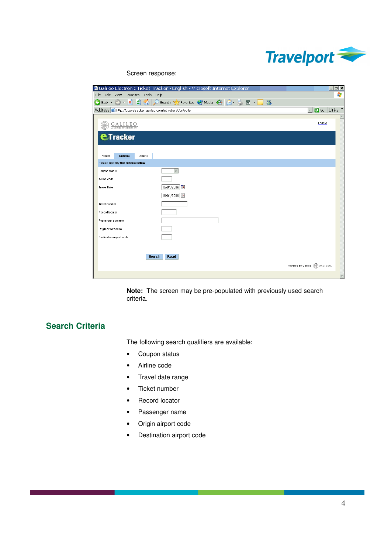

Screen response:

|                                                             | <sup>2</sup> Galileo Electronic Ticket Tracker - English - Microsoft Internet Explorer | $  E $ X                                          |
|-------------------------------------------------------------|----------------------------------------------------------------------------------------|---------------------------------------------------|
| File Edit View Favorites Tools Help                         |                                                                                        | Æ                                                 |
|                                                             | G Back ▼ ⊙ ▼ R 2 3 1 C Search ☆ Favorites ● Media ② 2 ▼ 2 回 ▼ D %                      |                                                   |
| Address bttp://copyetracker.galileo.com/etracker/Controller |                                                                                        | $\rightarrow$ Go<br>Links <sup>»</sup><br>$\vert$ |
| GALILEO                                                     |                                                                                        | Logout                                            |
| <b>eTracker</b>                                             |                                                                                        |                                                   |
| Criteria<br>Report<br>Options                               |                                                                                        |                                                   |
| Please specify the criteria below                           |                                                                                        |                                                   |
| Coupon status                                               | $\overline{ }$                                                                         |                                                   |
| Airline code                                                |                                                                                        |                                                   |
| <b>Travel Date</b>                                          | 15/01/2006                                                                             |                                                   |
|                                                             | 16/01/2006                                                                             |                                                   |
| Ticket number                                               |                                                                                        |                                                   |
| Record locator                                              |                                                                                        |                                                   |
| Passenger surname                                           |                                                                                        |                                                   |
| Origin airport code                                         |                                                                                        |                                                   |
| Destination airport code                                    |                                                                                        |                                                   |
|                                                             |                                                                                        |                                                   |
|                                                             |                                                                                        |                                                   |
| <b>Search</b>                                               | <b>Reset</b>                                                                           |                                                   |
|                                                             |                                                                                        | Powered by Galileo (CO GALILEO.                   |
|                                                             |                                                                                        | $\overline{\phantom{a}}$                          |

**Note:** The screen may be pre-populated with previously used search criteria.

### **Search Criteria**

The following search qualifiers are available:

- Coupon status
- Airline code
- Travel date range
- Ticket number
- Record locator
- Passenger name
- Origin airport code
- Destination airport code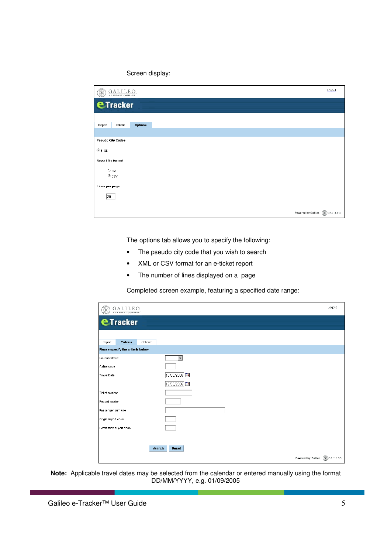#### Screen display:

| $\underbrace{G\,A\,L\,I\,L\,E\,O}_{\text{\tiny{\texttt{A\,C\,ENDANT\,COMPANY}}}}.$ | Logout                        |
|------------------------------------------------------------------------------------|-------------------------------|
| <b>eTracker</b>                                                                    |                               |
|                                                                                    |                               |
| <b>Options</b><br>Report<br>Criteria                                               |                               |
| <b>Pseudo City Codes</b>                                                           |                               |
| $@$ 51QD                                                                           |                               |
| <b>Report file format</b>                                                          |                               |
| $\bigcirc$ XML<br>$\bullet$ csv                                                    |                               |
| Lines per page                                                                     |                               |
| 20                                                                                 |                               |
|                                                                                    | Powered by Galileo (Calilleo) |

The options tab allows you to specify the following:

- The pseudo city code that you wish to search
- XML or CSV format for an e-ticket report
- The number of lines displayed on a page

Completed screen example, featuring a specified date range:

| <b>eTracker</b>                   |                          |  |
|-----------------------------------|--------------------------|--|
| Criteria<br>Report                | Options                  |  |
| Please specify the criteria below |                          |  |
| Coupon status                     | $\overline{\phantom{a}}$ |  |
| Airline code                      |                          |  |
| Travel Date                       | 15/03/2006               |  |
|                                   | 16/03/2006               |  |
| Ticket number                     |                          |  |
| Record locator                    |                          |  |
| Passenger surname                 |                          |  |
| Origin airport code               |                          |  |
| Destination airport code          |                          |  |
|                                   |                          |  |
|                                   |                          |  |

**Note:** Applicable travel dates may be selected from the calendar or entered manually using the format DD/MM/YYYY, e.g. 01/09/2005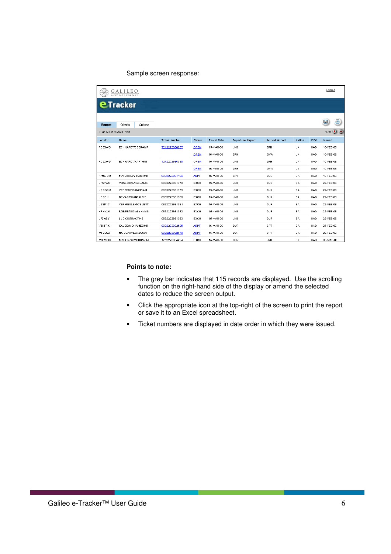#### Sample screen response:

|                        |                         |                      |             |                    |                   |                 |         |     | Logout                       |
|------------------------|-------------------------|----------------------|-------------|--------------------|-------------------|-----------------|---------|-----|------------------------------|
|                        | <b>e</b> Tracker        |                      |             |                    |                   |                 |         |     |                              |
| Report                 | Criteria<br>Options     |                      |             |                    |                   |                 |         |     | 른<br>e                       |
| Number of records: 115 |                         |                      |             |                    |                   |                 |         |     | $\bigcirc$ $\bigcirc$<br>1/6 |
| Locator                | Name                    | <b>Ticket Number</b> | Status      | <b>Travel Date</b> | Departure Airport | Arrival Airport | Airline | PCC | Issued                       |
| RDZXWG                 | ECKHARDT/DEBRAMR        | 7242272936037        | <b>OPEN</b> | 15-MAR-06          | JNB               | ZRH             | LX.     | 0AD | 10-FEB-06                    |
|                        |                         |                      | <b>OPEN</b> | 16-MAR-06          | ZRH               | GVA             | LX.     | 0AD | 10-FEB-06                    |
| RDZXWG                 | ECKHARDT/HARTMUT        | 7242272936035        | <b>OPEN</b> | 15-MAR-06          | JNB               | ZRH             | LX.     | 0AD | 10-FEB-06                    |
|                        |                         |                      | <b>OPEN</b> | 16-MAR-06          | ZRH               | GVA             | LX.     | 0AD | 10-FEB-06                    |
| KMC6BM                 | MAHARAJ/VIKASHMR        | 0832272981196        | <b>ARPT</b> | 15-MAR-06          | CPT               | DUR             | SA      | 0AD | 16-FEB-06                    |
| LFSPWO                 | VOSLOO/ANGELAMS         | 0832272981378        | EXCH        | 15-MAR-06          | <b>JNB</b>        | DUR             | SA      | 0AD | 22-FEB-06                    |
| <b>LGGGOM</b>          | <b>VENTER/FRANCINAM</b> | 0832272981379        | EXCH        | 15-MAR-06          | <b>JNB</b>        | DUR             | SA      | 0AD | 22-FEB-06                    |
| LGQCKI                 | DEVAR/CHANTALMS         | 0832272981380        | EXCH        | 15-MAR-06          | JNB               | <b>DUR</b>      | SA      | 0AD | 22-FEB-06                    |
| LG3P1C                 | <b>VERMEULEM/CELEST</b> | 0832272981381        | EXCH        | 15-MAR-06          | JNB               | <b>DUR</b>      | SA      | 0AD | 22-FEB-06                    |
| KRNX2K                 | <b>ROBERTSON/LYNNMS</b> | 0832272981382        | EXCH        | 15-MAR-06          | JNB               | DUR             | SA      | 0AD | 22-FEB-06                    |
| LFZW6Y                 | <b>LUDICK/TRACYMS</b>   | 0832272981383        | EXCH        | 15-MAR-06          | <b>JNB</b>        | DUR             | SA      | 0AD | 22-FEB-06                    |
| <b>VZKFRK</b>          | KAJEE/MOHAMEDMR         | 0832273032525        | <b>ARPT</b> | 16-MAR-06          | DUR               | CPT             | SA      | 0AD | 27-FEB-06                    |
| MF2LQ2                 | NAIDU/VIVEGABOOS        | 0832273032579        | <b>ARPT</b> | 15-MAR-06          | DUR               | CPT             | SA      | 0AD | 28-FEB-06                    |
| M30WG6                 | MKHONZA/MDUDNZIM        | 1252273084424        | EXCH        | 15-MAR-06          | DUR               | <b>JNB</b>      | BA      | 0AD | 03-MAR-06                    |

#### **Points to note:**

- The grey bar indicates that 115 records are displayed. Use the scrolling function on the right-hand side of the display or amend the selected dates to reduce the screen output.
- Click the appropriate icon at the top-right of the screen to print the report or save it to an Excel spreadsheet.
- Ticket numbers are displayed in date order in which they were issued.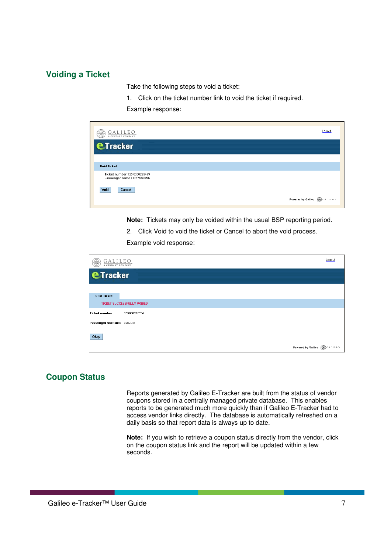### **Voiding a Ticket**

Take the following steps to void a ticket:

1. Click on the ticket number link to void the ticket if required.

Example response:

| $\underbrace{GALILED}_{\scriptscriptstyle{\text{{\bf A} CENDANT COMPANY}}}.$ | Logout                           |
|------------------------------------------------------------------------------|----------------------------------|
| <b>eTracker</b>                                                              |                                  |
| <b>Void Ticket</b>                                                           |                                  |
| Ticket number 125 8350299499<br>Passenger name CURRAN/GMR                    |                                  |
| Void<br>Cancel                                                               |                                  |
|                                                                              | Powered by Galileo (SC) GALILEO. |

**Note:** Tickets may only be voided within the usual BSP reporting period.

2. Click Void to void the ticket or Cancel to abort the void process.

Example void response:

| $\underbrace{G\,A\,L\,I\,L\,E\,O}_{\text{a central}}.$ | Logout                           |
|--------------------------------------------------------|----------------------------------|
| <b>eTracker</b>                                        |                                  |
| <b>Void Ticket</b>                                     |                                  |
| <b>TICKET SUCCESSFULLY VOIDED</b>                      |                                  |
| <b>Ticket number</b><br>1259900276234                  |                                  |
| Passenger surname Test/Julie                           |                                  |
| Okay                                                   |                                  |
|                                                        | Powered by Galileo (CO) GALILEO. |

### **Coupon Status**

Reports generated by Galileo E-Tracker are built from the status of vendor coupons stored in a centrally managed private database. This enables reports to be generated much more quickly than if Galileo E-Tracker had to access vendor links directly. The database is automatically refreshed on a daily basis so that report data is always up to date.

**Note:** If you wish to retrieve a coupon status directly from the vendor, click on the coupon status link and the report will be updated within a few seconds.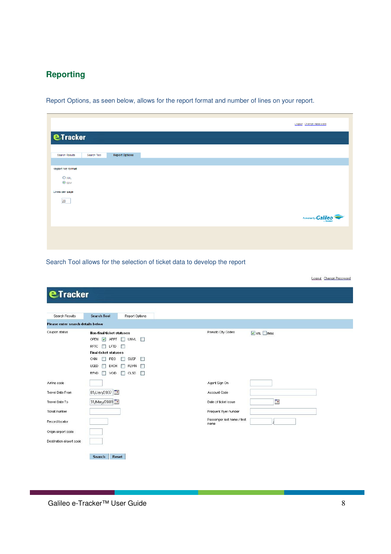### **Reporting**

Report Options, as seen below, allows for the report format and number of lines on your report.

| <b>ETracker</b>    |             |                       |
|--------------------|-------------|-----------------------|
|                    |             |                       |
|                    |             |                       |
| Search Resuts      | Search Tool | <b>Report Options</b> |
|                    |             |                       |
| Report file format |             |                       |
| $O$ XML            |             |                       |
| $\odot$ csv        |             |                       |
| Lines per page     |             |                       |
| 20                 |             |                       |
|                    |             |                       |
|                    |             |                       |
|                    |             |                       |
|                    |             |                       |

Search Tool allows for the selection of ticket data to develop the report

Loqout Change Password

| <b>eTracker</b>                   |                                                                                                                                                                                                                                                                                                                                                           |                                     |
|-----------------------------------|-----------------------------------------------------------------------------------------------------------------------------------------------------------------------------------------------------------------------------------------------------------------------------------------------------------------------------------------------------------|-------------------------------------|
| Search Results                    | <b>Search Tool</b><br>Report Options                                                                                                                                                                                                                                                                                                                      |                                     |
| Please enter search details below |                                                                                                                                                                                                                                                                                                                                                           |                                     |
| Coupon status                     | <b>Non-final ticket statuses</b><br>OPEN V ARPT<br>UNVL  <br><b>Contract</b><br><b>RFTC</b><br>LFTD<br>$\frac{1}{2}$<br>$\sim$<br><b>Final-ticket statuses</b><br>CKIN<br><b>SUSP</b><br>n<br><b>IREG</b><br>m<br>m<br><b>USED</b><br><b>EXCH</b><br><b>FLVW</b><br>m<br><b>TITLE</b><br>n a<br><b>RFND</b><br>CLSD<br>VOID<br>n<br>П<br><b>The State</b> | Pseudo City Codes                   |
| Airline code<br>Travel Date From  | 01/Jan/2007                                                                                                                                                                                                                                                                                                                                               | Agent Sign On<br>Account Code       |
| Travel Date To                    | 31/May/2009                                                                                                                                                                                                                                                                                                                                               | Date of ticket issue                |
| Ticket number                     |                                                                                                                                                                                                                                                                                                                                                           | Frequent flyer number               |
| Record locator                    |                                                                                                                                                                                                                                                                                                                                                           | Passenger last name / first<br>name |
| Origin airport code               |                                                                                                                                                                                                                                                                                                                                                           |                                     |
|                                   |                                                                                                                                                                                                                                                                                                                                                           |                                     |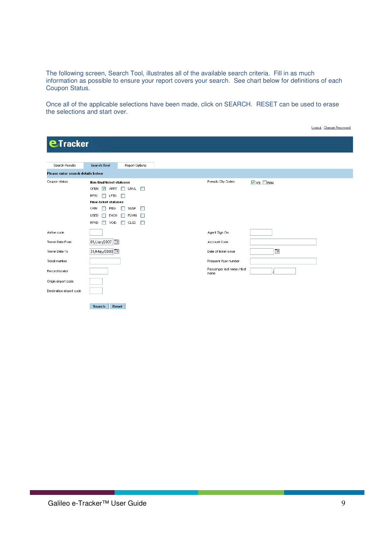The following screen, Search Tool, illustrates all of the available search criteria. Fill in as much information as possible to ensure your report covers your search. See chart below for definitions of each Coupon Status.

Once all of the applicable selections have been made, click on SEARCH. RESET can be used to erase the selections and start over.

| Search Results                    | <b>Search Tool</b><br>Report Options                                                                                                                                                                                                                                     |                                     |
|-----------------------------------|--------------------------------------------------------------------------------------------------------------------------------------------------------------------------------------------------------------------------------------------------------------------------|-------------------------------------|
| Please enter search details below |                                                                                                                                                                                                                                                                          |                                     |
| Coupon status                     | <b>Non-final ticket statuses</b>                                                                                                                                                                                                                                         | Pseudo City Codes<br>$XBL$ B6N      |
|                                   | OPEN V ARPT I UNVL                                                                                                                                                                                                                                                       |                                     |
|                                   | RFTC<br>$\Box$ LFTD<br><b>1967</b>                                                                                                                                                                                                                                       |                                     |
|                                   | <b>Final-ticket statuses</b>                                                                                                                                                                                                                                             |                                     |
|                                   | CKIN<br><b>IREG</b><br>SUSP<br><b>The Contract of the Contract of the Contract of the Contract of the Contract of the Contract of the Contract of the Contract of the Contract of the Contract of the Contract of the Contract of the Contract of the Contract </b><br>n |                                     |
|                                   | <b>USED</b><br><b>FLVVN</b><br><b>EXCH</b><br><b>COL</b>                                                                                                                                                                                                                 |                                     |
|                                   | $\Box$ CLSD<br><b>RFND</b><br>VOID<br>П<br>П                                                                                                                                                                                                                             |                                     |
| Airline code                      |                                                                                                                                                                                                                                                                          | Agent Sign On                       |
| Travel Date From                  | 01/Jan/2007                                                                                                                                                                                                                                                              | Account Code                        |
| Travel Date To                    | 31/May/2009                                                                                                                                                                                                                                                              | F<br>Date of ticket issue           |
| Ticket number                     |                                                                                                                                                                                                                                                                          | Frequent flyer number               |
| Record locator                    |                                                                                                                                                                                                                                                                          | Passenger last name / first<br>name |
| Origin airport code               |                                                                                                                                                                                                                                                                          |                                     |
| Destination airport code          |                                                                                                                                                                                                                                                                          |                                     |

Logout Change Password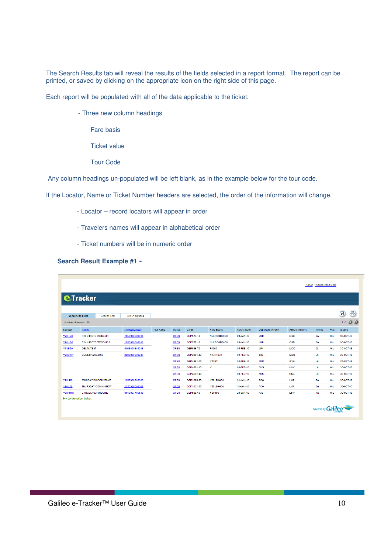The Search Results tab will reveal the results of the fields selected in a report format. The report can be printed, or saved by clicking on the appropriate icon on the right side of this page.

Each report will be populated with all of the data applicable to the ticket.

- Three new column headings
	- Fare basis
	- Ticket value
	- Tour Code

Any column headings un-populated will be left blank, as in the example below for the tour code.

If the Locator, Name or Ticket Number headers are selected, the order of the information will change.

- Locator record locators will appear in order
- Travelers names will appear in alphabetical order
- Ticket numbers will be in numeric order

#### **Search Result Example #1 -**

|                                |                                 |                            |                       |                  |               |             |                   |                    |                          |                        | <b>Logout</b> Change Password |            |               |
|--------------------------------|---------------------------------|----------------------------|-----------------------|------------------|---------------|-------------|-------------------|--------------------|--------------------------|------------------------|-------------------------------|------------|---------------|
|                                | <b>eTracker</b>                 |                            |                       |                  |               |             |                   |                    |                          |                        |                               |            |               |
|                                |                                 |                            |                       |                  |               |             |                   |                    |                          |                        |                               |            | $\oplus$<br>圓 |
| <b>Search Results</b>          |                                 | Search Tool                | <b>Report Options</b> |                  |               |             |                   |                    |                          |                        |                               |            | $1/2$ (b) (b) |
| Number of records: 18          |                                 |                            |                       |                  |               |             |                   |                    |                          |                        |                               |            |               |
| Locator                        | Name                            |                            | <b>Ticket Number</b>  | <b>Tour Code</b> | <b>Status</b> | Value       | <b>Fare Basis</b> | <b>Travel Date</b> | <b>Departure Airport</b> | <b>Arrival Airport</b> | Airline                       | PCC        | Issued        |
| <b>V76HQ6</b>                  | <b>FISH/HRGTE STONEMR</b>       |                            | 1259900908014         |                  | <b>OPEN</b>   | GBP377.10   | NLXRCGB9000       | 20-JAN-10          | LHR                      | ORD                    | BA                            | X6L        | 30-OCT-09     |
| <b>V701 Q6</b>                 | <b>FISHAIRGTE STTWOMRS</b>      |                            | 1250000000015         |                  | <b>OPEN</b>   | GBP377.10   | NLXRCGD0000       | 20-JAN-10          | LIIR                     | ORD                    | <b>DA</b>                     | <b>XGL</b> | 30-OCT-00     |
| V78EGK                         | <b>DELTA/TEST</b>               |                            | 0069900908246         |                  | <b>OPEN</b>   | GBP596.70   | F0000             | 05-FEB-10          | <b>JFK</b>               | MCO                    | <b>DL</b>                     | X6L        | 30-OCT-09     |
| V78EKW                         | <b>CODE SHARE/ONE</b>           |                            | 2209900908247         |                  | <b>OPEN</b>   | GBP4681.40  | <b>Y77RT030</b>   | 02-FEB-10          | SIN                      | <b>MUC</b>             | LH.                           | X6L        | 30-OCT-09     |
|                                |                                 |                            |                       |                  | OPEN          | GBP4681.40  | Y77RT             | 04-FEB-10          | <b>MUC</b>               | GVA                    | LH                            | XGL        | 30-OCT-09     |
|                                |                                 |                            |                       |                  | <b>OPEN</b>   | GBP4681.40  | Y                 | 06-FEB-10          | <b>GVA</b>               | <b>MJC</b>             | LH                            | X6L        | 30-OCT-09     |
|                                |                                 |                            |                       |                  | <b>OPEN</b>   | GBP4681.40  |                   | 08-FEB-10          | <b>MUC</b>               | <b>HKG</b>             | LH                            | X6L        | 30-OCT-09     |
| <b>V78JR0</b>                  | <b>MONDAY/DISCOUNTAMT</b>       |                            | 1259900908300         |                  | <b>OPEN</b>   | GBP1068.60  | Y2FLBA000         | 31-JAN-10          | FCO                      | LHR                    | BA                            | X6L        | 30-OCT-09     |
| <b>V78K52</b>                  |                                 | <b>THURSDAY/COMMNINEIT</b> | 1259900908302         |                  | OPEN          | GBP 1091.60 | Y2FLBA000         | 31-JAN-10          | <b>FCO</b>               | LHR                    | <b>BA</b>                     | X6L.       | 30-OCT-09     |
| <b>V6M8MM</b>                  | <b>CANCEL/REFUNDONE</b>         |                            | 0010057766538         |                  | OPEN          | GBP588.10   | Y26000            | 25-JAN-10          | <b>ATL</b>               | <b>DFW</b>             | AA                            | X6L        | 30-OCT-09     |
| $\bullet$ = conjunction ticket |                                 |                            |                       |                  |               |             |                   |                    |                          |                        |                               |            |               |
|                                | Powered by Galileo <sup>-</sup> |                            |                       |                  |               |             |                   |                    |                          |                        |                               |            |               |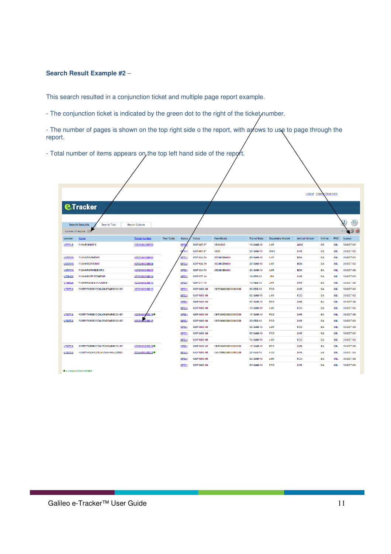#### **Search Result Example #2** –

This search resulted in a conjunction ticket and multiple page report example.

- The conjunction ticket is indicated by the green dot to the right of the ticket, number.

- The number of pages is shown on the top right side o the report, with anows to use to page through the report.

- Total number of items appears on, the top left hand side of the report.

|               |                                      |                       |                  |               |            |                    |                    |                          |                        | Logout Change Password |                  |                    |
|---------------|--------------------------------------|-----------------------|------------------|---------------|------------|--------------------|--------------------|--------------------------|------------------------|------------------------|------------------|--------------------|
|               | <b>eTracker</b>                      |                       |                  |               |            |                    |                    |                          |                        |                        |                  |                    |
|               | <b>Search Results</b><br>Search Tool | <b>Report Options</b> |                  |               |            |                    |                    |                          |                        |                        |                  | $\oplus$<br>딥      |
|               | Number of records: 228               |                       |                  |               |            |                    |                    |                          |                        |                        |                  | $\mathbf{0}$<br>11 |
| Locator       | <b>Name</b>                          | <b>Ticket Number</b>  | <b>Tour Code</b> | <b>Status</b> | Value      | <b>Fare Basis</b>  | <b>Travel Date</b> | <b>Departure Airport</b> | <b>Arrival Airport</b> | Airline                | PCC              | Issued             |
| <b>V6PRL8</b> | <b>FISH/FISHMRS</b>                  | 2359900400703         |                  | QPE           | GBP407.57  | <b>YBM</b> 000     | 10-MAR-10          | LHR                      | <b>AMS</b>             | <b>ED</b>              | X6L              | 30-OCT-09          |
|               |                                      |                       |                  | <b>OPEN</b>   | GBP407.57  | <b>YBM</b>         | 20-MAR-10          | <b>AMS</b>               | LHR                    | <b>ED</b>              | X6L              | 30-OCT-09          |
| <b>VGR7W0</b> | <b>FISHVIIRGONEMR</b>                | 1250000000003         |                  | OPEN          | GBP124.70  | <b>OEUNCBA000</b>  | 20-MAR-10          | LIIR                     | <b>BCN</b>             | <b>DA</b>              | XGL              | 30-OCT-09          |
| <b>V6R7W0</b> | <b>FISH/HRGTWOMR</b>                 | 1259900908004         |                  | OPEN          | GBP124.70  | OEUNCBA000         | 20-MAR-10          | LHR                      | <b>BCN</b>             | EA                     | X <sub>6</sub> L | 30-OCT-09          |
| <b>V6R7W0</b> | <b>FISH/HRGTHREEMRS</b>              | 1259900908005         |                  | OPEN          | GBP124.70  | OEUNCBA000         | 20-MAR-10          | LHR                      | <b>BCN</b>             | EA                     | X <sub>6</sub> L | 30-OCT-09          |
| V76HQ6        | <b>FISH/HRGTE STONEMR</b>            | 1259900908014         |                  | OPEN          | GRP377 10  |                    | 10-FEB-10          | <b>JIEK</b>              | <b>THR</b>             | <b>FA</b>              | XRI              | 30-OCT-09          |
| <b>V76FQ6</b> | <b>FISH/HRGTESTIV/OMRS</b>           | 1259900908015         |                  | OPEN          | GBP377.10  |                    | 10-FEB-10          | <b>JFK</b>               | LHR                    | <b>EA</b>              | X6L              | 30-OCT-09          |
| <b>V7877G</b> | <b>FORTYTHREE/CONJONEFARECONST</b>   | 1259900908215         |                  | OPEY          | GBP1600.00 | CBP20000000000000  | 20-FEB-10          | <b>FCO</b>               | LHR                    | EA                     | X6L              | 30-OCT-09          |
|               |                                      |                       |                  | OPEN          | GBP1600.00 |                    | 02-MAR-10          | LHR                      | <b>FCO</b>             | EA                     | X6L              | 30-OCT-09          |
|               |                                      |                       |                  | OPEN          | GBP1600.00 |                    | 07 MAR 10          | FCO                      | LHR                    | EA                     | X6L              | 30 OCT 09          |
|               |                                      |                       |                  | OPEN          | GBP1600.00 |                    | 12-MAR-10          | LHR                      | FCO                    | EA                     | X6L              | 30-OCT-09          |
| <b>V7877G</b> | <b>FORTYTHREE/CONJONEFARECOVST</b>   | 1259900<br>82160      |                  | OPEN          | GBP1600.00 | CBP20000000000000  | 17-MAR-10          | <b>FCO</b>               | LHR                    | EA                     | X6L              | 30-OCT-09          |
| <b>V7877G</b> | <b>FORTYTHREE/CONJTWOFARECONST</b>   | 12599<br>08217        |                  | OPEN          | GBP1600.00 | CBP20000000000000  | 20-FEB-10          | <b>FCO</b>               | LHR                    | EA                     | X6L              | 30-OCT-09          |
|               |                                      |                       |                  | OPEN          | GBP1600.00 |                    | 02-MAR-10          | LHR                      | FCO                    | EA                     | X6L              | 30-OCT-09          |
|               |                                      |                       |                  | OPEN          | GBP1600.00 |                    | 07-MAR-10          | FCO                      | LHR                    | EA                     | XGL              | 30-OCT-09          |
|               |                                      |                       |                  | OPEN          | GBP1600.00 |                    | 12-MAR-10          | LHR                      | FCO                    | EA                     | X6L              | 30-OCT-09          |
| V7877G        | FORTYTHREE/CONJTWOFARECONST          | 1259900908213●        |                  | OPEN          | GBP1600.00 | CBP200000000000000 | 17-MAR-10          | FCO                      | LHR                    | EA                     | XGL              | 30-OCT-09          |
| V/S/7G        | FORTYFOUR/CONJEQUREARECONST          | 1259900908221         |                  | OPEN          | GBP1600.00 | CBP200000000000000 | 20-FEB-10          | <b>FCO</b>               | LHK                    | <b>EA</b>              | X6L              | 30-OCT-09          |
|               |                                      |                       |                  | OPEN          | GBP1600.00 |                    | 02-MAR-10          | LHR                      | FCO                    | EA                     | X <sub>6L</sub>  | 30-OCT-09          |
|               |                                      |                       |                  | <b>OPEN</b>   | GBP1600.00 |                    | 07-MAR-10          | FCO                      | LHR                    | <b>EA</b>              | X <sub>6L</sub>  | 30-OCT-09          |
|               | $\bullet$ = conjunction ticket       |                       |                  |               |            |                    |                    |                          |                        |                        |                  |                    |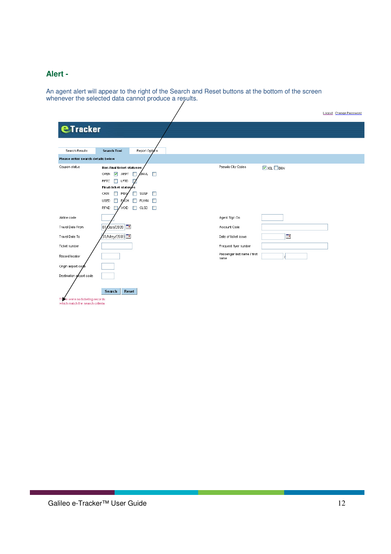### **Alert -**

An agent alert will appear to the right of the Search and Reset buttons at the bottom of the screen whenever the selected data cannot produce a results.

|                                                                    |                                                                                                                                                                                                                                                                                                            |                                     | Loqout Change Password             |
|--------------------------------------------------------------------|------------------------------------------------------------------------------------------------------------------------------------------------------------------------------------------------------------------------------------------------------------------------------------------------------------|-------------------------------------|------------------------------------|
| <b>eTracker</b>                                                    |                                                                                                                                                                                                                                                                                                            |                                     |                                    |
| Search Results                                                     | <b>Search Tool</b><br>Report Options                                                                                                                                                                                                                                                                       |                                     |                                    |
| Please enter search details below                                  |                                                                                                                                                                                                                                                                                                            |                                     |                                    |
| Coupon status                                                      | <b>Non-final ticket statuses</b><br>$\sqrt{ }$ ARPT<br>ONVL.<br>OPEN<br>П<br>П<br><b>RFTC</b><br>$\Box$ LFTD<br>Final-ticket statuses<br>SUSP<br><b>CKIN</b><br>$\Box$<br>IREG/<br>П<br>□<br><b>USED</b><br>$\Box$ EXCH<br><b>FLVVN</b><br><b>The Second Street</b><br>П<br>RFND<br>VOID<br>П<br>CLSD<br>П | Pseudo City Codes                   | $\triangleright$ X6L $\square$ B6N |
| Airline code                                                       |                                                                                                                                                                                                                                                                                                            | Agent Sign On                       |                                    |
| Travel Date From                                                   | 0an/2009   <mark>⊞</mark><br> 01                                                                                                                                                                                                                                                                           | Account Code                        |                                    |
| Travel Date To                                                     | ⁄31/May/2009 <b>⊞</b>                                                                                                                                                                                                                                                                                      | Date of ticket issue                | T.                                 |
| Ticket number                                                      |                                                                                                                                                                                                                                                                                                            | Frequent flyer number               |                                    |
| Record locator                                                     |                                                                                                                                                                                                                                                                                                            | Passenger last name / first<br>name |                                    |
| Origin airport code                                                |                                                                                                                                                                                                                                                                                                            |                                     |                                    |
| Destination arrport code                                           |                                                                                                                                                                                                                                                                                                            |                                     |                                    |
| There were no ticketing records<br>which match the search criteria | Reset<br>Search                                                                                                                                                                                                                                                                                            |                                     |                                    |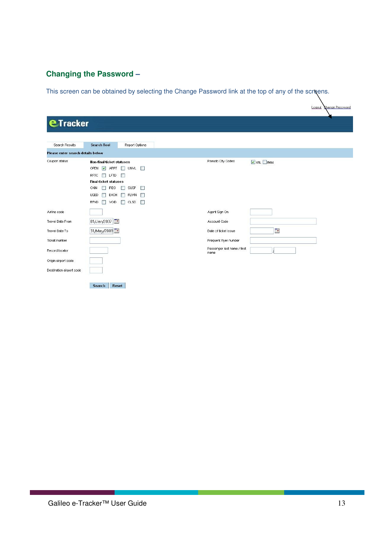# **Changing the Password –**

This screen can be obtained by selecting the Change Password link at the top of any of the screens.

|                                   |                                                                                                                                                                                                                                                                                                                                                       | Logout                                         | Change Password |
|-----------------------------------|-------------------------------------------------------------------------------------------------------------------------------------------------------------------------------------------------------------------------------------------------------------------------------------------------------------------------------------------------------|------------------------------------------------|-----------------|
| <b>eTracker</b>                   |                                                                                                                                                                                                                                                                                                                                                       |                                                |                 |
| Search Results                    | <b>Search Tool</b><br>Report Options                                                                                                                                                                                                                                                                                                                  |                                                |                 |
| Please enter search details below |                                                                                                                                                                                                                                                                                                                                                       |                                                |                 |
| Coupon status                     | <b>Non-final ticket statuses</b><br>OPEN V ARPT UNVL<br><b>RFTC</b><br><b>LFTD</b><br><b>B</b><br><b>Final-ticket statuses</b><br>CKIN<br>m<br><b>IREG</b><br><b>SUSP</b><br>$\mathcal{C}^{\infty}$<br>T<br><b>USED</b><br><b>FLVW</b><br><b>The State</b><br>EXCH<br>m<br><b>RFND</b><br><b>CLSD</b><br>$\Box$<br>$\Box$<br>VOID<br><b>The State</b> | Pseudo City Codes<br>$\nabla$ X6L $\nabla$ B6N |                 |
| Airline code                      |                                                                                                                                                                                                                                                                                                                                                       | Agent Sign On                                  |                 |
| <b>Travel Date From</b>           | 01/Jan/2007                                                                                                                                                                                                                                                                                                                                           | Account Code                                   |                 |
| Travel Date To                    | 31/May/2009                                                                                                                                                                                                                                                                                                                                           | Œ<br>Date of ticket issue                      |                 |
| Ticket number                     |                                                                                                                                                                                                                                                                                                                                                       | Frequent flyer number                          |                 |
| Record locator                    |                                                                                                                                                                                                                                                                                                                                                       | Passenger last name / first<br>name            |                 |
| Origin airport code               |                                                                                                                                                                                                                                                                                                                                                       |                                                |                 |
| Destination airport code          |                                                                                                                                                                                                                                                                                                                                                       |                                                |                 |
|                                   | Reset<br>Search                                                                                                                                                                                                                                                                                                                                       |                                                |                 |